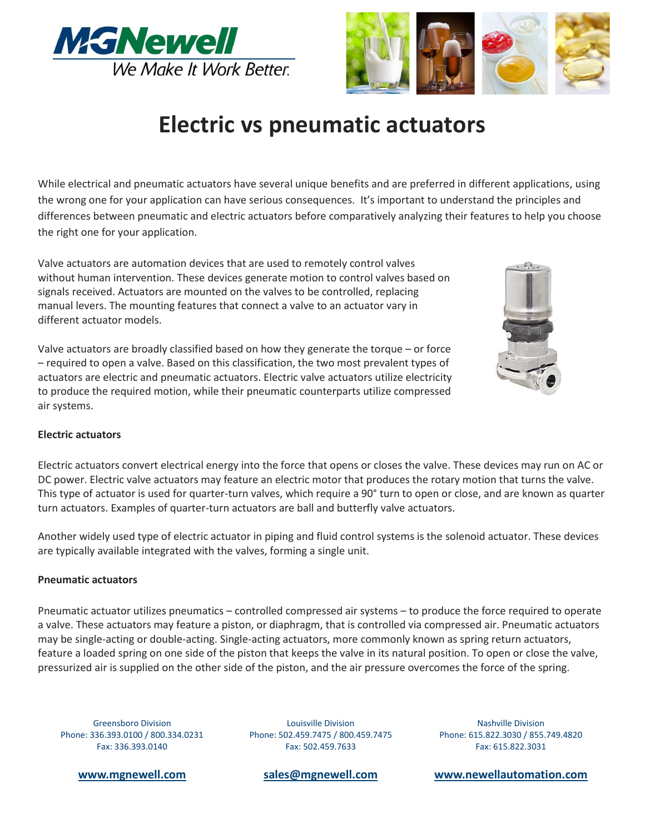



# **Electric vs pneumatic actuators**

While electrical and pneumatic actuators have several unique benefits and are preferred in different applications, using the wrong one for your application can have serious consequences. It's important to understand the principles and differences between pneumatic and electric actuators before comparatively analyzing their features to help you choose the right one for your application.

Valve actuators are automation devices that are used to remotely control valves without human intervention. These devices generate motion to control valves based on signals received. Actuators are mounted on the valves to be controlled, replacing manual levers. The mounting features that connect a valve to an actuator vary in different actuator models.

Valve actuators are broadly classified based on how they generate the torque – or force – required to open a valve. Based on this classification, the two most prevalent types of actuators are electric and pneumatic actuators. Electric valve actuators utilize electricity to produce the required motion, while their pneumatic counterparts utilize compressed air systems.



## **Electric actuators**

Electric actuators convert electrical energy into the force that opens or closes the valve. These devices may run on AC or DC power. Electric valve actuators may feature an electric motor that produces the rotary motion that turns the valve. This type of actuator is used for quarter-turn valves, which require a 90° turn to open or close, and are known as quarter turn actuators. Examples of quarter-turn actuators are ball and butterfly valve actuators.

Another widely used type of electric actuator in piping and fluid control systems is the solenoid actuator. These devices are typically available integrated with the valves, forming a single unit.

#### **Pneumatic actuators**

Pneumatic actuator utilizes pneumatics – controlled compressed air systems – to produce the force required to operate a valve. These actuators may feature a piston, or diaphragm, that is controlled via compressed air. Pneumatic actuators may be single-acting or double-acting. Single-acting actuators, more commonly known as spring return actuators, feature a loaded spring on one side of the piston that keeps the valve in its natural position. To open or close the valve, pressurized air is supplied on the other side of the piston, and the air pressure overcomes the force of the spring.

Greensboro Division Phone: 336.393.0100 / 800.334.0231 Fax: 336.393.0140

Louisville Division Phone: 502.459.7475 / 800.459.7475 Fax: 502.459.7633

Nashville Division Phone: 615.822.3030 / 855.749.4820 Fax: 615.822.3031

**[www.mgnewell.com](file://///mgngb24/users$/mimi.cartee/My%20Documents/Literature%20and%20brochures/White%20Papers/www.mgnewell.com) [sales@mgnewell.com](mailto:sales@mgnewell.com?subject=Triclamps%20and%20gaskets) [www.newellautomation.com](file://///mgngb24/users$/mimi.cartee/My%20Documents/Literature%20and%20brochures/White%20Papers/www.newellautomation.com)**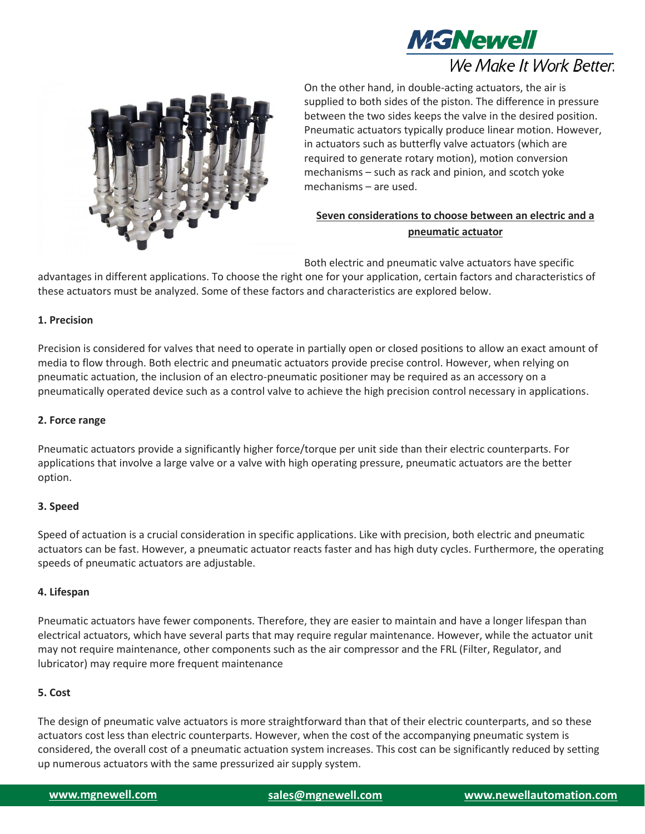

# We Make It Work Better.



On the other hand, in double-acting actuators, the air is supplied to both sides of the piston. The difference in pressure between the two sides keeps the valve in the desired position. Pneumatic actuators typically produce linear motion. However, in actuators such as butterfly valve actuators (which are required to generate rotary motion), motion conversion mechanisms – such as rack and pinion, and scotch yoke mechanisms – are used.

# **Seven considerations to choose between an electric and a pneumatic actuator**

Both electric and pneumatic valve actuators have specific

advantages in different applications. To choose the right one for your application, certain factors and characteristics of these actuators must be analyzed. Some of these factors and characteristics are explored below.

#### **1. Precision**

Precision is considered for valves that need to operate in partially open or closed positions to allow an exact amount of media to flow through. Both electric and pneumatic actuators provide precise control. However, when relying on pneumatic actuation, the inclusion of an electro-pneumatic positioner may be required as an accessory on a pneumatically operated device such as a control valve to achieve the high precision control necessary in applications.

#### **2. Force range**

Pneumatic actuators provide a significantly higher force/torque per unit side than their electric counterparts. For applications that involve a large valve or a valve with high operating pressure, pneumatic actuators are the better option.

#### **3. Speed**

Speed of actuation is a crucial consideration in specific applications. Like with precision, both electric and pneumatic actuators can be fast. However, a pneumatic actuator reacts faster and has high duty cycles. Furthermore, the operating speeds of pneumatic actuators are adjustable.

#### **4. Lifespan**

Pneumatic actuators have fewer components. Therefore, they are easier to maintain and have a longer lifespan than electrical actuators, which have several parts that may require regular maintenance. However, while the actuator unit may not require maintenance, other components such as the air compressor and the FRL (Filter, Regulator, and lubricator) may require more frequent maintenance

## **5. Cost**

The design of pneumatic valve actuators is more straightforward than that of their electric counterparts, and so these actuators cost less than electric counterparts. However, when the cost of the accompanying pneumatic system is considered, the overall cost of a pneumatic actuation system increases. This cost can be significantly reduced by setting up numerous actuators with the same pressurized air supply system.